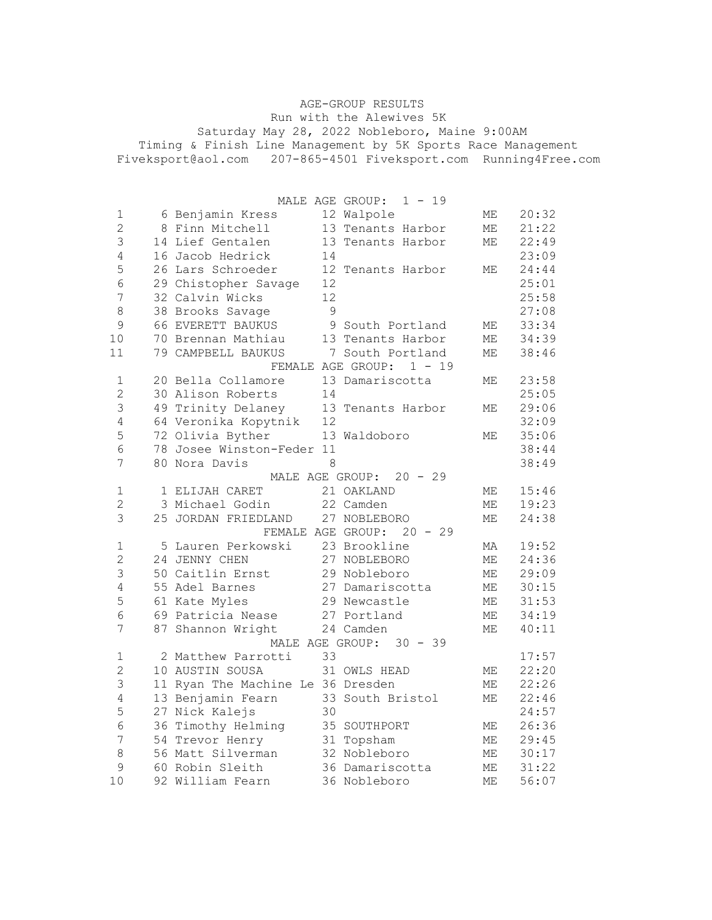AGE-GROUP RESULTS Run with the Alewives 5K Saturday May 28, 2022 Nobleboro, Maine 9:00AM Timing & Finish Line Management by 5K Sports Race Management Fiveksport@aol.com 207-865-4501 Fiveksport.com Running4Free.com

|                  |                                   |         | $1 - 19$<br>MALE AGE GROUP:  |                            |       |
|------------------|-----------------------------------|---------|------------------------------|----------------------------|-------|
| 1                | 6 Benjamin Kress                  |         | 12 Walpole                   | МE                         | 20:32 |
| $\overline{c}$   | 8 Finn Mitchell                   |         | 13 Tenants Harbor            | МE                         | 21:22 |
| 3                | 14 Lief Gentalen                  |         | 13 Tenants Harbor            | $\ensuremath{\mathsf{ME}}$ | 22:49 |
| 4                | 16 Jacob Hedrick                  | 14      |                              |                            | 23:09 |
| 5                | 26 Lars Schroeder                 |         | 12 Tenants Harbor            | МE                         | 24:44 |
| $\sqrt{6}$       | 29 Chistopher Savage              | 12      |                              |                            | 25:01 |
| $\boldsymbol{7}$ | 32 Calvin Wicks                   | 12      |                              |                            | 25:58 |
| $\,8\,$          | 38 Brooks Savage                  | 9       |                              |                            | 27:08 |
| $\mathsf 9$      | 66 EVERETT BAUKUS                 |         | 9 South Portland             | МE                         | 33:34 |
| 10               | 70 Brennan Mathiau                |         | 13 Tenants Harbor            | $\ensuremath{\mathsf{ME}}$ | 34:39 |
| 11               | 79 CAMPBELL BAUKUS                |         | 7 South Portland             | МE                         | 38:46 |
|                  |                                   |         | FEMALE AGE GROUP: 1 - 19     |                            |       |
| 1                | 20 Bella Collamore                |         | 13 Damariscotta              | МE                         | 23:58 |
| $\mathbf{2}$     | 30 Alison Roberts                 | 14      |                              |                            | 25:05 |
| 3                | 49 Trinity Delaney                |         | 13 Tenants Harbor            | МE                         | 29:06 |
| $\sqrt{4}$       | 64 Veronika Kopytnik              | 12      |                              |                            | 32:09 |
| 5                | 72 Olivia Byther                  |         | 13 Waldoboro                 | МE                         | 35:06 |
| 6                | 78 Josee Winston-Feder 11         |         |                              |                            | 38:44 |
| 7                | 80 Nora Davis                     | $\,8\,$ |                              |                            | 38:49 |
|                  |                                   |         | MALE AGE GROUP:<br>$20 - 29$ |                            |       |
| 1                | 1 ELIJAH CARET                    |         | 21 OAKLAND                   | МE                         | 15:46 |
| $\overline{c}$   | 3 Michael Godin                   |         | 22 Camden                    | $\mathop{\rm ME}\nolimits$ | 19:23 |
| 3                | 25 JORDAN FRIEDLAND               |         | 27 NOBLEBORO                 | МE                         | 24:38 |
|                  |                                   |         | FEMALE AGE GROUP: 20 - 29    |                            |       |
| 1                | 5 Lauren Perkowski                |         | 23 Brookline                 | МA                         | 19:52 |
| $\overline{2}$   | 24 JENNY CHEN                     |         | 27 NOBLEBORO                 | $\ensuremath{\mathsf{ME}}$ | 24:36 |
| 3                | 50 Caitlin Ernst                  |         | 29 Nobleboro                 | $\ensuremath{\mathsf{ME}}$ | 29:09 |
| 4                | 55 Adel Barnes                    |         | 27 Damariscotta              | МE                         | 30:15 |
| 5                | 61 Kate Myles                     |         | 29 Newcastle                 | МE                         | 31:53 |
| 6                | 69 Patricia Nease                 |         | 27 Portland                  | $\mathop{\rm ME}\nolimits$ | 34:19 |
| 7                | 87 Shannon Wright                 |         | 24 Camden                    | МE                         | 40:11 |
|                  |                                   |         | MALE AGE GROUP:<br>$30 - 39$ |                            |       |
| 1                | 2 Matthew Parrotti                | 33      |                              |                            | 17:57 |
| $\overline{2}$   | 10 AUSTIN SOUSA                   |         | 31 OWLS HEAD                 | МE                         | 22:20 |
| 3                | 11 Ryan The Machine Le 36 Dresden |         |                              | $\ensuremath{\mathsf{ME}}$ | 22:26 |
| 4                | 13 Benjamin Fearn                 |         | 33 South Bristol             | ME                         | 22:46 |
| 5                | 27 Nick Kalejs                    | 30      |                              |                            | 24:57 |
| 6                | 36 Timothy Helming                |         | 35 SOUTHPORT                 | МE                         | 26:36 |
| 7                | 54 Trevor Henry                   |         | 31 Topsham                   | $\ensuremath{\mathsf{ME}}$ | 29:45 |
| 8                | 56 Matt Silverman                 |         | 32 Nobleboro                 | МE                         | 30:17 |
| 9                | 60 Robin Sleith                   |         | 36 Damariscotta              | МE                         | 31:22 |
| 10               | 92 William Fearn                  |         | 36 Nobleboro                 | МE                         | 56:07 |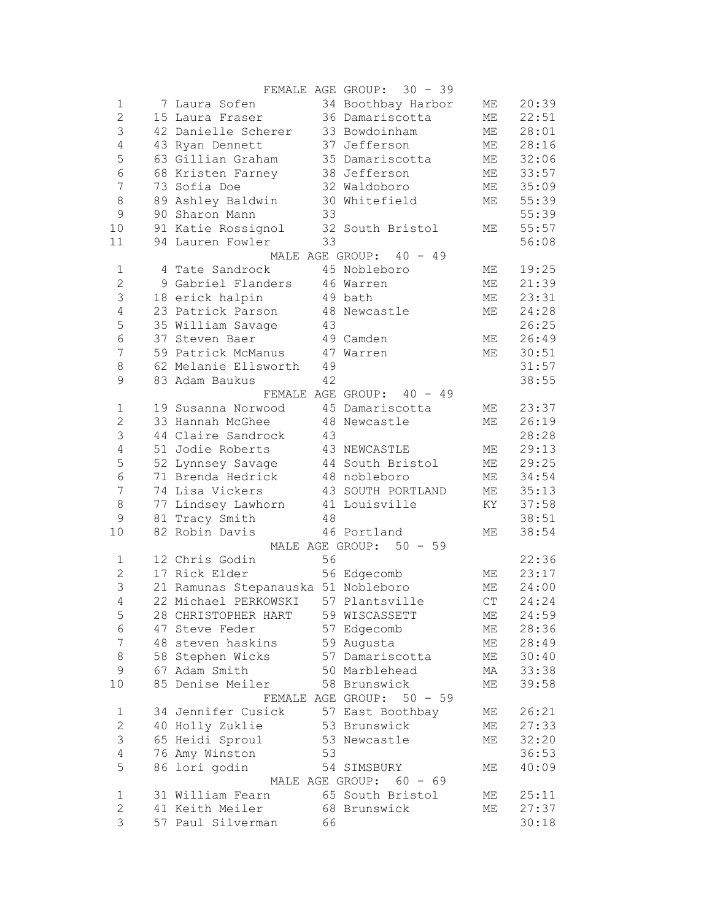|                         |  |                                     |    | FEMALE AGE GROUP: 30 - 39 |                        |       |
|-------------------------|--|-------------------------------------|----|---------------------------|------------------------|-------|
| 1                       |  | 7 Laura Sofen 34 Boothbay Harbor    |    |                           | ME                     | 20:39 |
| $\overline{c}$          |  | 15 Laura Fraser 36 Damariscotta     |    |                           | МE                     | 22:51 |
| $\mathsf 3$             |  | 42 Danielle Scherer 33 Bowdoinham   |    |                           | МE                     | 28:01 |
| $\sqrt{4}$              |  | 43 Ryan Dennett                     |    | 37 Jefferson              | МE                     | 28:16 |
| 5                       |  | 63 Gillian Graham                   |    | 35 Damariscotta           | МE                     | 32:06 |
| $\epsilon$              |  | 68 Kristen Farney                   |    | 38 Jefferson              | МE                     | 33:57 |
| $\boldsymbol{7}$        |  | 73 Sofia Doe                        |    | 32 Waldoboro              | ME                     | 35:09 |
| 8                       |  | 89 Ashley Baldwin                   |    | 30 Whitefield             | МE                     | 55:39 |
| $\mathcal{G}$           |  | 90 Sharon Mann                      | 33 |                           |                        | 55:39 |
| 10                      |  | 91 Katie Rossignol 32 South Bristol |    |                           | МE                     | 55:57 |
| 11                      |  | 94 Lauren Fowler                    | 33 |                           |                        | 56:08 |
|                         |  |                                     |    | MALE AGE GROUP: 40 - 49   |                        |       |
| $\mathbf 1$             |  | 4 Tate Sandrock                     |    | 45 Nobleboro              | МE                     | 19:25 |
| $\mathbf 2$             |  | 9 Gabriel Flanders 46 Warren        |    |                           | МE                     | 21:39 |
| $\mathsf 3$             |  | 18 erick halpin                     |    | 49 bath                   | МE                     | 23:31 |
| $\overline{4}$          |  | 23 Patrick Parson 48 Newcastle      |    |                           | МE                     | 24:28 |
| 5                       |  | 35 William Savage                   | 43 |                           |                        | 26:25 |
| $\epsilon$              |  | 37 Steven Baer                      |    | 49 Camden                 | ME                     | 26:49 |
| $\overline{7}$          |  | 59 Patrick McManus 47 Warren        |    |                           | ME                     | 30:51 |
|                         |  | 62 Melanie Ellsworth 49             |    |                           |                        | 31:57 |
| 8                       |  |                                     |    |                           |                        |       |
| 9                       |  | 83 Adam Baukus                      | 42 |                           |                        | 38:55 |
|                         |  |                                     |    | FEMALE AGE GROUP: 40 - 49 |                        |       |
| $\mathbf 1$             |  | 19 Susanna Norwood 45 Damariscotta  |    |                           | ME                     | 23:37 |
| $\overline{2}$          |  | 33 Hannah McGhee                    |    | 48 Newcastle              | МE                     | 26:19 |
| 3                       |  | 44 Claire Sandrock                  | 43 |                           |                        | 28:28 |
| $\overline{4}$          |  | 51 Jodie Roberts 43 NEWCASTLE       |    |                           | МE                     | 29:13 |
| 5                       |  | 52 Lynnsey Savage 44 South Bristol  |    |                           | ME                     | 29:25 |
| $\sqrt{6}$              |  | 71 Brenda Hedrick 48 nobleboro      |    |                           | ME                     | 34:54 |
| $\boldsymbol{7}$        |  | 74 Lisa Vickers                     |    | 43 SOUTH PORTLAND         | ME                     | 35:13 |
| $\,8\,$                 |  | 77 Lindsey Lawhorn 41 Louisville    |    |                           | KY                     | 37:58 |
| 9                       |  | 81 Tracy Smith<br>48                |    |                           |                        | 38:51 |
| 10                      |  | 82 Robin Davis 46 Portland          |    |                           | МE                     | 38:54 |
|                         |  |                                     |    | MALE AGE GROUP: 50 - 59   |                        |       |
| 1                       |  | 12 Chris Godin                      | 56 |                           |                        | 22:36 |
| $\overline{2}$          |  | 17 Rick Elder 56 Edgecomb           |    |                           | МE                     | 23:17 |
| 3                       |  | 21 Ramunas Stepanauska 51 Nobleboro |    |                           | МE                     | 24:00 |
| $\overline{4}$          |  | 22 Michael PERKOWSKI 57 Plantsville |    |                           | $\mathbb{C}\mathbb{T}$ | 24:24 |
| 5                       |  | 28 CHRISTOPHER HART                 |    | 59 WISCASSETT             | МE                     | 24:59 |
| 6                       |  | 47 Steve Feder                      |    | 57 Edgecomb               | ME                     | 28:36 |
| 7                       |  | 48 steven haskins                   |    | 59 Augusta                | МE                     | 28:49 |
| 8                       |  | 58 Stephen Wicks                    |    | 57 Damariscotta           | МE                     | 30:40 |
| $\mathsf 9$             |  | 67 Adam Smith                       |    | 50 Marblehead             | МA                     | 33:38 |
| $10$                    |  | 85 Denise Meiler                    |    | 58 Brunswick              | МE                     | 39:58 |
|                         |  |                                     |    | FEMALE AGE GROUP: 50 - 59 |                        |       |
| $\mathbf 1$             |  | 34 Jennifer Cusick                  |    | 57 East Boothbay          | МE                     | 26:21 |
| $\overline{2}$          |  | 40 Holly Zuklie                     |    | 53 Brunswick              | МE                     | 27:33 |
| 3                       |  | 65 Heidi Sproul                     |    | 53 Newcastle              | МE                     | 32:20 |
| $\overline{4}$          |  | 76 Amy Winston                      | 53 |                           |                        | 36:53 |
| 5                       |  | 86 lori godin                       |    | 54 SIMSBURY               | МE                     | 40:09 |
| MALE AGE GROUP: 60 - 69 |  |                                     |    |                           |                        |       |
| 1                       |  | 31 William Fearn                    |    | 65 South Bristol          | МE                     | 25:11 |
| $\overline{c}$          |  | 41 Keith Meiler                     |    | 68 Brunswick              | МE                     | 27:37 |
| 3                       |  | 57 Paul Silverman                   | 66 |                           |                        | 30:18 |